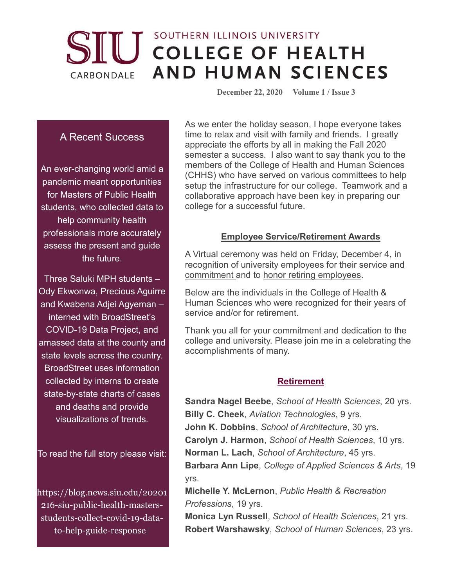## SOUTHERN ILLINOIS UNIVERSITY **IU COLLEGE OF HEALTH AND HUMAN SCIENCES** CARBONDALE

 **December 22, 2020 Volume 1 / Issue 3**

## A Recent Success

An ever-changing world amid a pandemic meant opportunities for Masters of Public Health students, who collected data to help community health professionals more accurately assess the present and guide the future.

Three Saluki MPH students – Ody Ekwonwa, Precious Aguirre and Kwabena Adjei Agyeman – interned with BroadStreet's COVID-19 Data Project, and amassed data at the county and state levels across the country. BroadStreet uses information collected by interns to create state-by-state charts of cases and deaths and provide visualizations of trends.

To read the full story please visit:

https://blog.news.siu.edu/20201 216-siu-public-health-mastersstudents-collect-covid-19-datato-help-guide-response/

As we enter the holiday season, I hope everyone takes time to relax and visit with family and friends. I greatly appreciate the efforts by all in making the Fall 2020 semester a success. I also want to say thank you to the members of the College of Health and Human Sciences (CHHS) who have served on various committees to help setup the infrastructure for our college. Teamwork and a collaborative approach have been key in preparing our college for a successful future.

#### **Employee Service/Retirement Awards**

A Virtual ceremony was held on Friday, December 4, in recognition of university employees for their [service and](https://news.siu.edu/2020/11/112320-More-than-300-SIU-Carbondale-employees-will-be-honored-for-their-service.php)  [commitment](https://news.siu.edu/2020/11/112320-More-than-300-SIU-Carbondale-employees-will-be-honored-for-their-service.php) and to [honor retiring employees.](https://news.siu.edu/2020/11/112320-Virtual-ceremony-will-recognize-69-retired-SIU-Carbondale-employees.php)

Below are the individuals in the College of Health & Human Sciences who were recognized for their years of service and/or for retirement.

Thank you all for your commitment and dedication to the college and university. Please join me in a celebrating the accomplishments of many.

## **Retirement**

**Sandra Nagel Beebe**, *School of Health Sciences*, 20 yrs. **Billy C. Cheek**, *Aviation Technologies*, 9 yrs. **John K. Dobbins**, *School of Architecture*, 30 yrs. **Carolyn J. Harmon**, *School of Health Sciences*, 10 yrs. **Norman L. Lach**, *School of Architecture*, 45 yrs. **Barbara Ann Lipe**, *College of Applied Sciences & Arts*, 19 yrs.

**Michelle Y. McLernon**, *Public Health & Recreation Professions*, 19 yrs.

**Monica Lyn Russell**, *School of Health Sciences*, 21 yrs. **Robert Warshawsky**, *School of Human Sciences*, 23 yrs.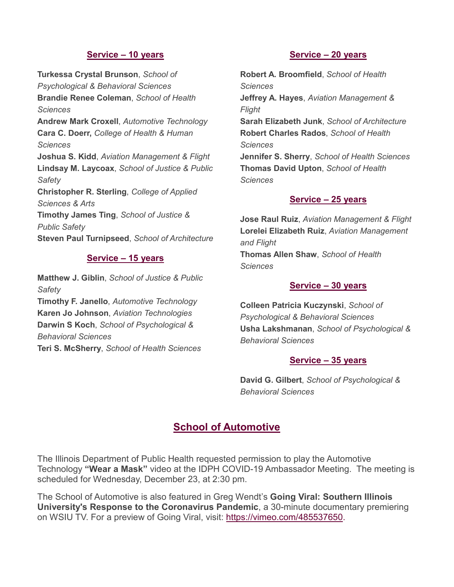### **Service – 10 years**

**Turkessa Crystal Brunson**, *School of Psychological & Behavioral Sciences* **Brandie Renee Coleman**, *School of Health Sciences* **Andrew Mark Croxell**, *Automotive Technology* **Cara C. Doerr,** *College of Health & Human Sciences* **Joshua S. Kidd**, *Aviation Management & Flight* **Lindsay M. Laycoax**, *School of Justice & Public Safety* **Christopher R. Sterling**, *College of Applied Sciences & Arts*  **Timothy James Ting**, *School of Justice & Public Safety* **Steven Paul Turnipseed**, *School of Architecture*

#### **Service – 15 years**

**Matthew J. Giblin**, *School of Justice & Public Safety* **Timothy F. Janello**, *Automotive Technology* **Karen Jo Johnson**, *Aviation Technologies* **Darwin S Koch**, *School of Psychological & Behavioral Sciences* **Teri S. McSherry**, *School of Health Sciences*

#### **Service – 20 years**

**Robert A. Broomfield**, *School of Health Sciences* **Jeffrey A. Hayes**, *Aviation Management & Flight* **Sarah Elizabeth Junk**, *School of Architecture* **Robert Charles Rados**, *School of Health Sciences* **Jennifer S. Sherry**, *School of Health Sciences* **Thomas David Upton**, *School of Health Sciences*

### **Service – 25 years**

**Jose Raul Ruiz**, *Aviation Management & Flight* **Lorelei Elizabeth Ruiz**, *Aviation Management and Flight* **Thomas Allen Shaw**, *School of Health Sciences*

#### **Service – 30 years**

**Colleen Patricia Kuczynski**, *School of Psychological & Behavioral Sciences* **Usha Lakshmanan**, *School of Psychological & Behavioral Sciences*

#### **Service – 35 years**

**David G. Gilbert**, *School of Psychological & Behavioral Sciences*

## **School of Automotive**

The Illinois Department of Public Health requested permission to play the Automotive Technology **"Wear a Mask"** video at the IDPH COVID-19 Ambassador Meeting. The meeting is scheduled for Wednesday, December 23, at 2:30 pm.

The School of Automotive is also featured in Greg Wendt's **Going Viral: Southern Illinois University's Response to the Coronavirus Pandemic**, a 30-minute documentary premiering on WSIU TV. For a preview of Going Viral, visit: [https://vimeo.com/485537650.](https://nam11.safelinks.protection.outlook.com/?url=https%3A%2F%2Fvimeo.com%2F485537650&data=04%7C01%7Ccaradoerr%40siu.edu%7C8650d73814fa447d4cb508d8a5ba1259%7Cd57a98e7744d43f9bc9108de1ff3710d%7C0%7C0%7C637441565869497552%7CUnknown%7CTWFpbGZsb3d8eyJWIjoiMC4wLjAwMDAiLCJQIjoiV2luMzIiLCJBTiI6Ik1haWwiLCJXVCI6Mn0%3D%7C1000&sdata=%2Fgz3F5BBXJr771mHaeZo8vJDu9ZjXA87KZ53z%2FRXZnM%3D&reserved=0)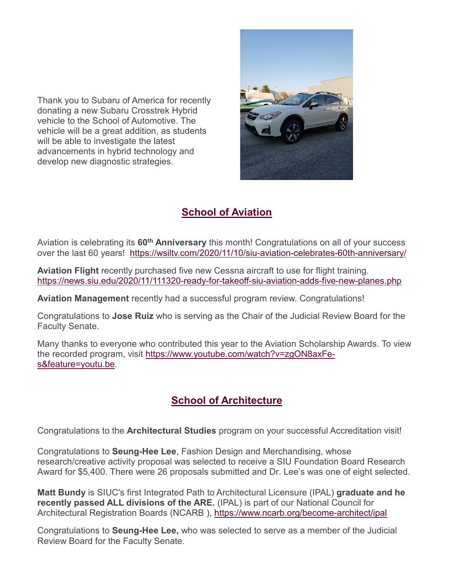Thank you to Subaru of America for recently donating a new Subaru Crosstrek Hybrid vehicle to the School of Automotive. The vehicle will be a great addition, as students will be able to investigate the latest advancements in hybrid technology and develop new diagnostic strategies.



# **School of Aviation**

Aviation is celebrating its **60th Anniversary** this month! Congratulations on all of your success over the last 60 years! <https://wsiltv.com/2020/11/10/siu-aviation-celebrates-60th-anniversary/>

**Aviation Flight** recently purchased five new Cessna aircraft to use for flight training. <https://news.siu.edu/2020/11/111320-ready-for-takeoff-siu-aviation-adds-five-new-planes.php>

**Aviation Management** recently had a successful program review. Congratulations!

Congratulations to **Jose Ruiz** who is serving as the Chair of the Judicial Review Board for the Faculty Senate.

Many thanks to everyone who contributed this year to the Aviation Scholarship Awards. To view the recorded program, visit [https://www.youtube.com/watch?v=zgON8axFe](https://www.youtube.com/watch?v=zgON8axFe-s&feature=youtu.be)[s&feature=youtu.be.](https://www.youtube.com/watch?v=zgON8axFe-s&feature=youtu.be)

# **School of Architecture**

Congratulations to the **Architectural Studies** program on your successful Accreditation visit!

Congratulations to **Seung-Hee Lee**, Fashion Design and Merchandising, whose research/creative activity proposal was selected to receive a SIU Foundation Board Research Award for \$5,400. There were 26 proposals submitted and Dr. Lee's was one of eight selected.

**Matt Bundy** is SIUC's first Integrated Path to Architectural Licensure (IPAL) **graduate and he recently passed ALL divisions of the ARE.** (IPAL) is part of our National Council for Architectural Registration Boards (NCARB ), <https://www.ncarb.org/become-architect/ipal>

Congratulations to **Seung-Hee Lee,** who was selected to serve as a member of the Judicial Review Board for the Faculty Senate.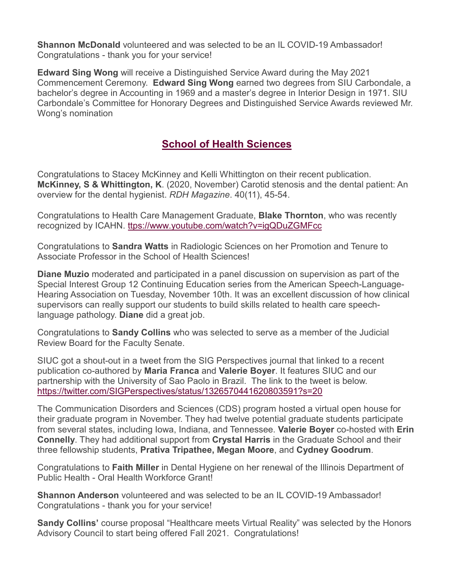**Shannon McDonald** volunteered and was selected to be an IL COVID-19 Ambassador! Congratulations - thank you for your service!

**Edward Sing Wong** will receive a Distinguished Service Award during the May 2021 Commencement Ceremony. **Edward Sing Wong** earned two degrees from SIU Carbondale, a bachelor's degree in Accounting in 1969 and a master's degree in Interior Design in 1971. SIU Carbondale's Committee for Honorary Degrees and Distinguished Service Awards reviewed Mr. Wong's nomination

# **School of Health Sciences**

Congratulations to Stacey McKinney and Kelli Whittington on their recent publication. **McKinney, S & Whittington, K**. (2020, November) Carotid stenosis and the dental patient: An overview for the dental hygienist. *RDH Magazine*. 40(11), 45-54.

Congratulations to Health Care Management Graduate, **Blake Thornton**, who was recently recognized by ICAHN. [ttps://www.youtube.com/watch?v=igQDuZGMFcc](https://www.youtube.com/watch?v=igQDuZGMFcc)

Congratulations to **Sandra Watts** in Radiologic Sciences on her Promotion and Tenure to Associate Professor in the School of Health Sciences!

**Diane Muzio** moderated and participated in a panel discussion on supervision as part of the Special Interest Group 12 Continuing Education series from the American Speech-Language-Hearing Association on Tuesday, November 10th. It was an excellent discussion of how clinical supervisors can really support our students to build skills related to health care speechlanguage pathology. **Diane** did a great job.

Congratulations to **Sandy Collins** who was selected to serve as a member of the Judicial Review Board for the Faculty Senate.

SIUC got a shout-out in a tweet from the SIG Perspectives journal that linked to a recent publication co-authored by **Maria Franca** and **Valerie Boyer**. It features SIUC and our partnership with the University of Sao Paolo in Brazil. The link to the tweet is below. <https://twitter.com/SIGPerspectives/status/1326570441620803591?s=20>

The Communication Disorders and Sciences (CDS) program hosted a virtual open house for their graduate program in November. They had twelve potential graduate students participate from several states, including Iowa, Indiana, and Tennessee. **Valerie Boyer** co-hosted with **Erin Connelly**. They had additional support from **Crystal Harris** in the Graduate School and their three fellowship students, **Prativa Tripathee, Megan Moore**, and **Cydney Goodrum**.

Congratulations to **Faith Miller** in Dental Hygiene on her renewal of the Illinois Department of Public Health - Oral Health Workforce Grant!

**Shannon Anderson** volunteered and was selected to be an IL COVID-19 Ambassador! Congratulations - thank you for your service!

**Sandy Collins'** course proposal "Healthcare meets Virtual Reality" was selected by the Honors Advisory Council to start being offered Fall 2021. Congratulations!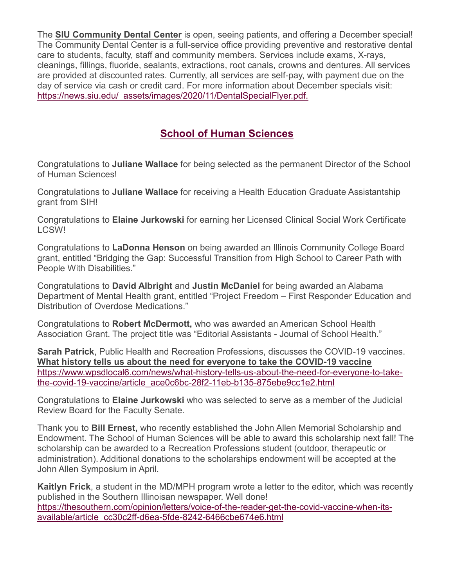The **[SIU Community Dental Center](https://news.siu.edu/2020/11/113020-SIU-Community-Dental-Center-open-and-offering-December-special.php)** is open, seeing patients, and offering a December special! The Community Dental Center is a full-service office providing preventive and restorative dental care to students, faculty, staff and community members. Services include exams, X-rays, cleanings, fillings, fluoride, sealants, extractions, root canals, crowns and dentures. All services are provided at discounted rates. Currently, all services are self-pay, with payment due on the day of service via cash or credit card. For more information about December specials visit: [https://news.siu.edu/\\_assets/images/2020/11/DentalSpecialFlyer.pdf.](https://news.siu.edu/_assets/images/2020/11/DentalSpecialFlyer.pdf)

# **School of Human Sciences**

Congratulations to **Juliane Wallace** for being selected as the permanent Director of the School of Human Sciences!

Congratulations to **Juliane Wallace** for receiving a Health Education Graduate Assistantship grant from SIH!

Congratulations to **Elaine Jurkowski** for earning her Licensed Clinical Social Work Certificate LCSW!

Congratulations to **LaDonna Henson** on being awarded an Illinois Community College Board grant, entitled "Bridging the Gap: Successful Transition from High School to Career Path with People With Disabilities."

Congratulations to **David Albright** and **Justin McDaniel** for being awarded an Alabama Department of Mental Health grant, entitled "Project Freedom – First Responder Education and Distribution of Overdose Medications."

Congratulations to **Robert McDermott,** who was awarded an American School Health Association Grant. The project title was "Editorial Assistants - Journal of School Health."

**Sarah Patrick**, Public Health and Recreation Professions, discusses the COVID-19 vaccines. **[What history tells us about the need for everyone to take the COVID-19 vaccine](https://www.wpsdlocal6.com/news/what-history-tells-us-about-the-need-for-everyone-to-take-the-covid-19-vaccine/article_ace0c6bc-28f2-11eb-b135-875ebe9cc1e2.html)** [https://www.wpsdlocal6.com/news/what-history-tells-us-about-the-need-for-everyone-to-take](https://www.wpsdlocal6.com/news/what-history-tells-us-about-the-need-for-everyone-to-take-the-covid-19-vaccine/article_ace0c6bc-28f2-11eb-b135-875ebe9cc1e2.html)[the-covid-19-vaccine/article\\_ace0c6bc-28f2-11eb-b135-875ebe9cc1e2.html](https://www.wpsdlocal6.com/news/what-history-tells-us-about-the-need-for-everyone-to-take-the-covid-19-vaccine/article_ace0c6bc-28f2-11eb-b135-875ebe9cc1e2.html)

Congratulations to **Elaine Jurkowski** who was selected to serve as a member of the Judicial Review Board for the Faculty Senate.

Thank you to **Bill Ernest,** who recently established the John Allen Memorial Scholarship and Endowment. The School of Human Sciences will be able to award this scholarship next fall! The scholarship can be awarded to a Recreation Professions student (outdoor, therapeutic or administration). Additional donations to the scholarships endowment will be accepted at the John Allen Symposium in April.

**Kaitlyn Frick**, a student in the MD/MPH program wrote a letter to the editor, which was recently published in the Southern Illinoisan newspaper. Well done! [https://thesouthern.com/opinion/letters/voice-of-the-reader-get-the-covid-vaccine-when-its](https://thesouthern.com/opinion/letters/voice-of-the-reader-get-the-covid-vaccine-when-its-available/article_cc30c2ff-d6ea-5fde-8242-6466cbe674e6.html)[available/article\\_cc30c2ff-d6ea-5fde-8242-6466cbe674e6.html](https://thesouthern.com/opinion/letters/voice-of-the-reader-get-the-covid-vaccine-when-its-available/article_cc30c2ff-d6ea-5fde-8242-6466cbe674e6.html)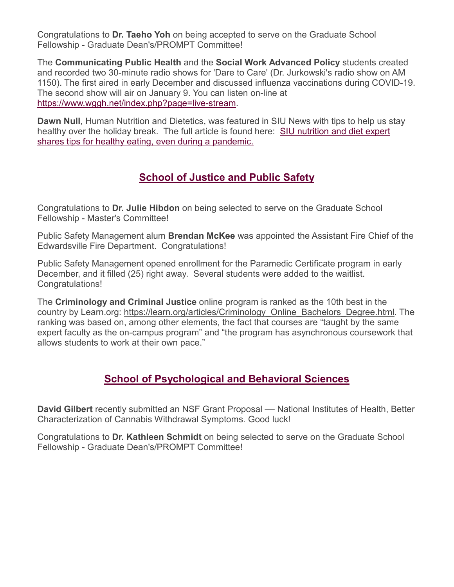Congratulations to **Dr. Taeho Yoh** on being accepted to serve on the Graduate School Fellowship - Graduate Dean's/PROMPT Committee!

The **Communicating Public Health** and the **Social Work Advanced Policy** students created and recorded two 30-minute radio shows for 'Dare to Care' (Dr. Jurkowski's radio show on AM 1150). The first aired in early December and discussed influenza vaccinations during COVID-19. The second show will air on January 9. You can listen on-line at [https://www.wggh.net/index.php?page=live-stream.](https://www.wggh.net/index.php?page=live-stream)

**Dawn Null**, Human Nutrition and Dietetics, was featured in SIU News with tips to help us stay healthy over the holiday break. The full article is found here: [SIU nutrition and diet expert](https://urldefense.com/v3/__https:/u7061146.ct.sendgrid.net/ls/click?upn=4tNED-2FM8iDZJQyQ53jATUbHBbsjfJrOHpjX-2Feg-2BJHoPZ3aWaPVJ6wr81DSx7PaQ26oKC7vwvx4cK628aBnhknH9VfyJFOwN9oWgslVcbY-2FsrxDewuUzrEU7GsFS5BOwk7iEi6hLMWwbOxATdXzZG3E8hS8LjZL-2Bb4V9xJUMjfwbIENbzEwwSVrFPUoo3OEQe0aWp_exSKmkmX-2FKLitnprR2Tw7myauhRoteItz7yQggD3rmSUk0UVTIXP9DR89q6EO78npl7aH1fyCZPTV6gn1hhp-2FlUsCRggM-2BtALp90uS8QK7iRTCST-2F4fBgyc22I7HHu07KS5-2B8vH6rrQvD8BdRmt9h6ysJFh98JPYDc-2Bn7ux7GOmFTUdbGBSNNIHOgwXKAitQAI2w8osLEMaUctdyUbAJ-2BqcoKKol1EWRBr2XjLgjfZwnQJE1guqNzhQqAtqfIpxfEn-2FDXrHuQV6XlnZmQCjW076VEy8uSSrhNFBA5htyZxIHx37xZUfmtCkG-2F-2Fybc5FocXLaqwoIJripRZ-2FyR6Jf3A-3D-3D__;!!DAxFFaumoJbh!MFmvF1ByHR1BZI1ywh7ZtftFCO0TYtSbimOI9KRP-OtkmukW8MH6nR2vDsIRpl0$)  [shares tips for healthy eating, even during a pandemic.](https://urldefense.com/v3/__https:/u7061146.ct.sendgrid.net/ls/click?upn=4tNED-2FM8iDZJQyQ53jATUbHBbsjfJrOHpjX-2Feg-2BJHoPZ3aWaPVJ6wr81DSx7PaQ26oKC7vwvx4cK628aBnhknH9VfyJFOwN9oWgslVcbY-2FsrxDewuUzrEU7GsFS5BOwk7iEi6hLMWwbOxATdXzZG3E8hS8LjZL-2Bb4V9xJUMjfwbIENbzEwwSVrFPUoo3OEQe0aWp_exSKmkmX-2FKLitnprR2Tw7myauhRoteItz7yQggD3rmSUk0UVTIXP9DR89q6EO78npl7aH1fyCZPTV6gn1hhp-2FlUsCRggM-2BtALp90uS8QK7iRTCST-2F4fBgyc22I7HHu07KS5-2B8vH6rrQvD8BdRmt9h6ysJFh98JPYDc-2Bn7ux7GOmFTUdbGBSNNIHOgwXKAitQAI2w8osLEMaUctdyUbAJ-2BqcoKKol1EWRBr2XjLgjfZwnQJE1guqNzhQqAtqfIpxfEn-2FDXrHuQV6XlnZmQCjW076VEy8uSSrhNFBA5htyZxIHx37xZUfmtCkG-2F-2Fybc5FocXLaqwoIJripRZ-2FyR6Jf3A-3D-3D__;!!DAxFFaumoJbh!MFmvF1ByHR1BZI1ywh7ZtftFCO0TYtSbimOI9KRP-OtkmukW8MH6nR2vDsIRpl0$)

# **School of Justice and Public Safety**

Congratulations to **Dr. Julie Hibdon** on being selected to serve on the Graduate School Fellowship - Master's Committee!

Public Safety Management alum **Brendan McKee** was appointed the Assistant Fire Chief of the Edwardsville Fire Department. Congratulations!

Public Safety Management opened enrollment for the Paramedic Certificate program in early December, and it filled (25) right away. Several students were added to the waitlist. Congratulations!

The **Criminology and Criminal Justice** online program is ranked as the 10th best in the country by Learn.org: [https://learn.org/articles/Criminology\\_Online\\_Bachelors\\_Degree.html.](https://learn.org/articles/Criminology_Online_Bachelors_Degree.html) The ranking was based on, among other elements, the fact that courses are "taught by the same expert faculty as the on-campus program" and "the program has asynchronous coursework that allows students to work at their own pace."

# **School of Psychological and Behavioral Sciences**

**David Gilbert** recently submitted an NSF Grant Proposal –– National Institutes of Health, Better Characterization of Cannabis Withdrawal Symptoms. Good luck!

Congratulations to **Dr. Kathleen Schmidt** on being selected to serve on the Graduate School Fellowship - Graduate Dean's/PROMPT Committee!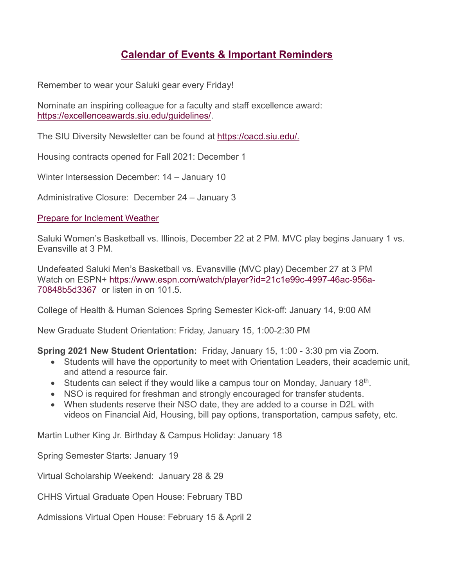# **Calendar of Events & Important Reminders**

Remember to wear your Saluki gear every Friday!

Nominate an inspiring colleague for a faculty and staff excellence award: [https://excellenceawards.siu.edu/guidelines/.](https://excellenceawards.siu.edu/guidelines/)

The SIU Diversity Newsletter can be found at [https://oacd.siu.edu/.](https://oacd.siu.edu/)

Housing contracts opened for Fall 2021: December 1

Winter Intersession December: 14 – January 10

Administrative Closure: December 24 – January 3

[Prepare for Inclement Weather](https://news.siu.edu/2020/11/111920-Reminder-Prepare-for-Inclement-Weather.php)

Saluki Women's Basketball vs. Illinois, December 22 at 2 PM. MVC play begins January 1 vs. Evansville at 3 PM.

Undefeated Saluki Men's Basketball vs. Evansville (MVC play) December 27 at 3 PM Watch on ESPN+ [https://www.espn.com/watch/player?id=21c1e99c-4997-46ac-956a-](https://www.espn.com/watch/player?id=21c1e99c-4997-46ac-956a-70848b5d3367%20%20)[70848b5d3367](https://www.espn.com/watch/player?id=21c1e99c-4997-46ac-956a-70848b5d3367%20%20) or listen in on 101.5.

College of Health & Human Sciences Spring Semester Kick-off: January 14, 9:00 AM

New Graduate Student Orientation: Friday, January 15, 1:00-2:30 PM

**Spring 2021 New Student Orientation:** Friday, January 15, 1:00 - 3:30 pm via Zoom.

- Students will have the opportunity to meet with Orientation Leaders, their academic unit, and attend a resource fair.
- Students can select if they would like a campus tour on Monday, January  $18<sup>th</sup>$ .
- NSO is required for freshman and strongly encouraged for transfer students.
- When students reserve their NSO date, they are added to a course in D2L with videos on Financial Aid, Housing, bill pay options, transportation, campus safety, etc.

Martin Luther King Jr. Birthday & Campus Holiday: January 18

Spring Semester Starts: January 19

Virtual Scholarship Weekend: January 28 & 29

CHHS Virtual Graduate Open House: February TBD

Admissions Virtual Open House: February 15 & April 2